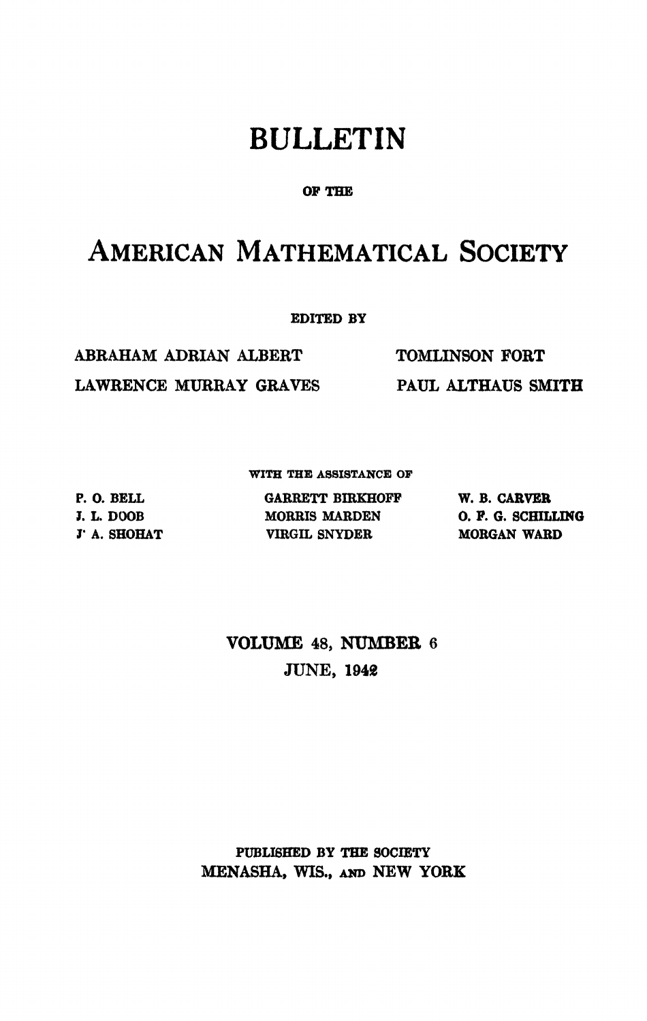# BULLETIN

### **OF THE**

## AMERICAN MATHEMATICAL SOCIETY

**EDITED BY** 

ABRAHAM ADRIAN ALBERT TOMLINSON FORT LAWRENCE MURRAY GRAVES PAUL ALTHAUS **SMITH** 

**WITH THE ASSISTANCE OP** 

**P. O. BELL I. L. DOOB I' A. SHOHAT** 

**GARRETT BIRKHOFF W. B. CARVER MORRIS MABDEN VIRGIL SNYDER** 

**O. F. G. SCHILLING MORGAN WARD** 

## **VOLUME** 48, **NUMBER** 6 JUNE, 1948

**PUBLISHED BY THE SOCIETY**  MENASHA, WIS., AND NEW YORK